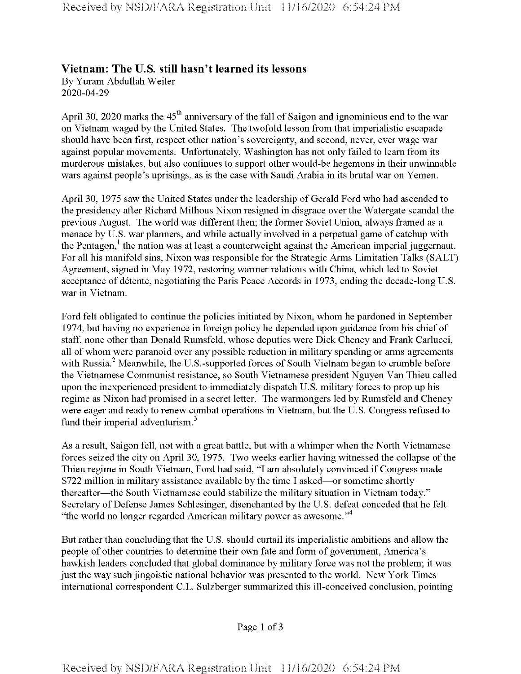## **Vietnam: The U.S. still hasn't learned its lessons**

By Yuram Abdullah Weiler 2020-04-29

April 30, 2020 marks the  $45<sup>th</sup>$  anniversary of the fall of Saigon and ignominious end to the war on Vietnam waged by the United States. The twofold lesson from that imperialistic escapade should have been first, respect other nation's sovereignty, and second, never, ever wage war against popular movements. Unfortunately, Washington has not only failed to learn from its murderous mistakes, but also continues to support other would-be hegemons in their unwinnable wars against people's uprisings, as is the case with Saudi Arabia in its brutal war on Yemen.

April 30, 1975 saw the United States under the leadership of Gerald Ford who had ascended to the presidency after Richard Milhous Nixon resigned in disgrace over the Watergate scandal the previous August. The world was different then; the former Soviet Union, always framed as a menace by U.S. war planners, and while actually involved in a perpetual game of catchup with the Pentagon,<sup>1</sup> the nation was at least a counterweight against the American imperial juggernaut. For all his manifold sins, Nixon was responsible for the Strategic Arms Limitation Talks (SALT) Agreement, signed in May 1972, restoring warmer relations with China, which led to Soviet acceptance of detente, negotiating the Paris Peace Accords in 1973, ending the decade-long U.S. war in Vietnam.

Ford felt obligated to continue the policies initiated by Nixon, whom he pardoned in September 1974, but having no experience in foreign policy he depended upon guidance from his chief of staff, none other than Donald Rumsfeld, whose deputies were Dick Cheney and Frank Carlucci, all of whom were paranoid over any possible reduction in military spending or arms agreements with Russia. $^2$  Meanwhile, the U.S.-supported forces of South Vietnam began to crumble before the Vietnamese Communist resistance, so South Vietnamese president Nguyen Van Thieu called upon the inexperienced president to immediately dispatch U.S. military forces to prop up his regime as Nixon had promised in a secret letter. The warmongers led by Rumsfeld and Cheney were eager and ready to renew combat operations in Vietnam, but the U.S. Congress refused to fund their imperial adventurism.<sup>3</sup>

As a result, Saigon fell, not with a great battle, but with a whimper when the North Vietnamese forces seized the city on April 30, 1975. Two weeks earlier having witnessed the collapse of the Thieu regime in South Vietnam, Ford had said, "I am absolutely convinced ifCongress made \$722 million in military assistance available by the time I asked—or sometime shortly thereafter—the South Vietnamese could stabilize the military situation in Vietnam today." Secretary of Defense James Schlesinger, disenchanted by the U.S. defeat conceded that he felt "the world no longer regarded American military power as awesome."<sup>4</sup>

But rather than concluding that the U.S. should curtail its imperialistic ambitions and allow the people of other countries to determine their own fate and form of government, America's hawkish leaders concluded that global dominance by military force was not the problem; it was just the way such jingoistic national behavior was presented to the world. New York Times international correspondent C.L. Sulzberger summarized this ill-conceived conclusion, pointing

Page 1 of 3

**Received by NSD/FARA Registration Unit 11/16/2020 6:54:24 PM**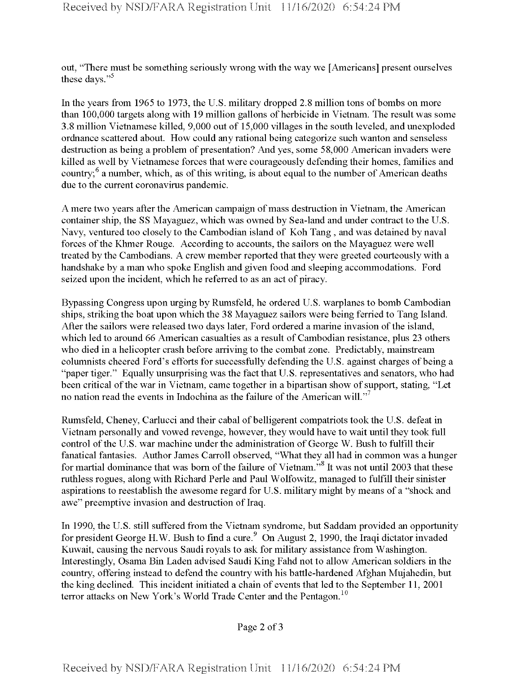out, "There must be something seriously wrong with the way we [Americans] present ourselves these days."<sup>5</sup>

In the years from 1965 to 1973, the U.S. military dropped 2.8 million tons of bombs on more than 100,000 targets along with 19 million gallons of herbicide in Vietnam. The result was some 3.8 million Vietnamese killed, 9,000 out of 15,000 villages in the south leveled, and unexploded ordnance scattered about. How could any rational being categorize such wanton and senseless destruction as being a problem of presentation? And yes, some 58,000 American invaders were killed as well by Vietnamese forces that were courageously defending their homes, families and country; $6$  a number, which, as of this writing, is about equal to the number of American deaths due to the current coronavirus pandemic.

A mere two years after the American campaign of mass destruction in Vietnam, the American container ship, the SS Mayaguez, which was owned by Sea-land and under contract to the U.S. Navy, ventured too closely to the Cambodian island of Koh Tang , and was detained by naval forces of the Khmer Rouge. According to accounts, the sailors on the Mayaguez were well treated by the Cambodians. A crew member reported that they were greeted courteously with a handshake by a man who spoke English and given food and sleeping accommodations. Ford seized upon the incident, which he referred to as an act of piracy.

Bypassing Congress upon urging by Rumsfeld, he ordered U.S. warplanes to bomb Cambodian ships, striking the boat upon which the 38 Mayaguez sailors were being ferried to Tang Island. After the sailors were released two days later, Ford ordered a marine invasion of the island, which led to around 66 American casualties as a result of Cambodian resistance, plus 23 others who died in a helicopter crash before arriving to the combat zone. Predictably, mainstream columnists cheered Ford's efforts for successfully defending the U.S. against charges of being a "paper tiger." Equally unsurprising was the fact that U.S. representatives and senators, who had been critical of the war in Vietnam, came together in a bipartisan show of support, stating, "Let no nation read the events in Indochina as the failure of the American will."<sup>7</sup>

Rumsfeld, Cheney, Carlucci and their cabal of belligerent compatriots took the U.S. defeat in Vietnam personally and vowed revenge, however, they would have to wait until they took full control of the U.S. war machine under the administration of George W. Bush to fulfill their fanatical fantasies. Author James Carroll observed, "What they all had in common was a hunger for martial dominance that was born of the failure of Vietnam.<sup>58</sup> It was not until 2003 that these mthless rogues, along with Richard Perle and Paul Wolfowitz, managed to fulfill their sinister aspirations to reestablish the awesome regard for U.S. military might by means of a "shock and awe" preemptive invasion and destruction of Iraq.

In 1990, the U.S. still suffered from the Vietnam syndrome, but Saddam provided an opportunity for president George H.W. Bush to find a cure.<sup>9</sup> On August 2, 1990, the Iraqi dictator invaded Kuwait, causing the nervous Saudi royals to ask for military assistance from Washington. Interestingly, Osama Bin Laden advised Saudi King Fahd not to allow American soldiers in the country, offering instead to defend the country with his battle-hardened Afghan Mujahedin, but the king declined. This incident initiated a chain of events that led to the September 11, 2001 terror attacks on New York's World Trade Center and the Pentagon.<sup>10</sup>

Page 2 of <sup>3</sup>